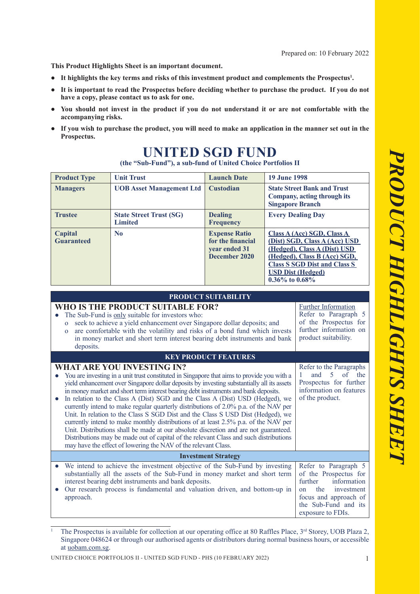**This Product Highlights Sheet is an important document.**

- **● It highlights the key terms and risks of this investment product and complements the Prospectus<sup>1</sup> .**
- **● It is important to read the Prospectus before deciding whether to purchase the product. If you do not have a copy, please contact us to ask for one.**
- You should not invest in the product if you do not understand it or are not comfortable with the **accompanying risks.**
- If you wish to purchase the product, you will need to make an application in the manner set out in the **Prospectus.**

| (the "Sub-Fund"), a sub-fund of United Choice Portfolios II |                                                  |                                                                             |                                                                                                                                                                                                                        |
|-------------------------------------------------------------|--------------------------------------------------|-----------------------------------------------------------------------------|------------------------------------------------------------------------------------------------------------------------------------------------------------------------------------------------------------------------|
| <b>Product Type</b>                                         | <b>Unit Trust</b>                                | <b>Launch Date</b>                                                          | <b>19 June 1998</b>                                                                                                                                                                                                    |
| <b>Managers</b>                                             | <b>UOB Asset Management Ltd</b>                  | <b>Custodian</b>                                                            | <b>State Street Bank and Trust</b><br>Company, acting through its<br><b>Singapore Branch</b>                                                                                                                           |
| <b>Trustee</b>                                              | <b>State Street Trust (SG)</b><br><b>Limited</b> | <b>Dealing</b><br><b>Frequency</b>                                          | <b>Every Dealing Day</b>                                                                                                                                                                                               |
| Capital<br><b>Guaranteed</b>                                | N <sub>0</sub>                                   | <b>Expense Ratio</b><br>for the financial<br>year ended 31<br>December 2020 | Class A (Acc) SGD, Class A<br>(Dist) SGD, Class A (Acc) USD<br>(Hedged), Class A (Dist) USD<br>(Hedged), Class B (Acc) SGD,<br><b>Class S SGD Dist and Class S</b><br><b>USD Dist (Hedged)</b><br>$0.36\%$ to $0.68\%$ |

## **UNITED SGD FUND**

| <b>PRODUCT SUITABILITY</b>                                                                                                                                                                                                                                                                                                                                                                                                                                                                                                                                                                                                                                                                                                                                                                                                                                                                                                 |                                                                                                                                                                          |  |  |  |
|----------------------------------------------------------------------------------------------------------------------------------------------------------------------------------------------------------------------------------------------------------------------------------------------------------------------------------------------------------------------------------------------------------------------------------------------------------------------------------------------------------------------------------------------------------------------------------------------------------------------------------------------------------------------------------------------------------------------------------------------------------------------------------------------------------------------------------------------------------------------------------------------------------------------------|--------------------------------------------------------------------------------------------------------------------------------------------------------------------------|--|--|--|
| WHO IS THE PRODUCT SUITABLE FOR?<br>The Sub-Fund is only suitable for investors who:<br>seek to achieve a yield enhancement over Singapore dollar deposits; and<br>$\mathbf{o}$<br>are comfortable with the volatility and risks of a bond fund which invests<br>$\mathbf{O}$<br>in money market and short term interest bearing debt instruments and bank<br>deposits.                                                                                                                                                                                                                                                                                                                                                                                                                                                                                                                                                    | <b>Further Information</b><br>Refer to Paragraph 5<br>of the Prospectus for<br>further information on<br>product suitability.                                            |  |  |  |
| <b>KEY PRODUCT FEATURES</b>                                                                                                                                                                                                                                                                                                                                                                                                                                                                                                                                                                                                                                                                                                                                                                                                                                                                                                |                                                                                                                                                                          |  |  |  |
| <b>WHAT ARE YOU INVESTING IN?</b><br>You are investing in a unit trust constituted in Singapore that aims to provide you with a<br>yield enhancement over Singapore dollar deposits by investing substantially all its assets<br>in money market and short term interest bearing debt instruments and bank deposits.<br>In relation to the Class A (Dist) SGD and the Class A (Dist) USD (Hedged), we<br>currently intend to make regular quarterly distributions of 2.0% p.a. of the NAV per<br>Unit. In relation to the Class S SGD Dist and the Class S USD Dist (Hedged), we<br>currently intend to make monthly distributions of at least 2.5% p.a. of the NAV per<br>Unit. Distributions shall be made at our absolute discretion and are not guaranteed.<br>Distributions may be made out of capital of the relevant Class and such distributions<br>may have the effect of lowering the NAV of the relevant Class. | Refer to the Paragraphs<br>and<br>$5$ of<br>the<br>$\mathbf{1}$<br>Prospectus for further<br>information on features<br>of the product.                                  |  |  |  |
| <b>Investment Strategy</b>                                                                                                                                                                                                                                                                                                                                                                                                                                                                                                                                                                                                                                                                                                                                                                                                                                                                                                 |                                                                                                                                                                          |  |  |  |
| We intend to achieve the investment objective of the Sub-Fund by investing<br>substantially all the assets of the Sub-Fund in money market and short term<br>interest bearing debt instruments and bank deposits.<br>Our research process is fundamental and valuation driven, and bottom-up in<br>approach.                                                                                                                                                                                                                                                                                                                                                                                                                                                                                                                                                                                                               | Refer to Paragraph 5<br>of the Prospectus for<br>information<br>further<br>the<br>investment<br>on<br>focus and approach of<br>the Sub-Fund and its<br>exposure to FDIs. |  |  |  |
|                                                                                                                                                                                                                                                                                                                                                                                                                                                                                                                                                                                                                                                                                                                                                                                                                                                                                                                            |                                                                                                                                                                          |  |  |  |

<sup>1</sup> The Prospectus is available for collection at our operating office at 80 Raffles Place, 3<sup>rd</sup> Storey, UOB Plaza 2, Singapore 048624 or through our authorised agents or distributors during normal business hours, or accessible at uobam.com.sg.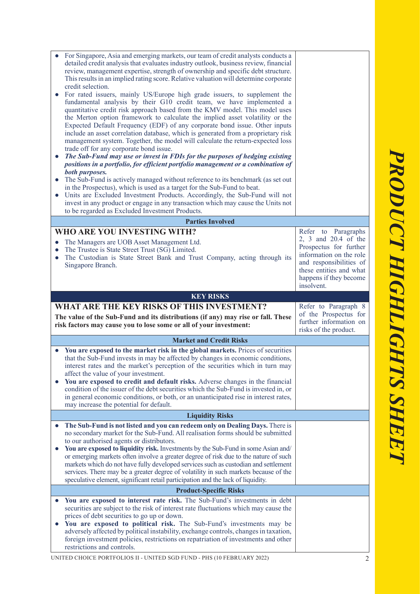| $\bullet$<br>$\bullet$<br>$\bullet$ | For Singapore, Asia and emerging markets, our team of credit analysts conducts a<br>detailed credit analysis that evaluates industry outlook, business review, financial<br>review, management expertise, strength of ownership and specific debt structure.<br>This results in an implied rating score. Relative valuation will determine corporate<br>credit selection.<br>For rated issuers, mainly US/Europe high grade issuers, to supplement the<br>fundamental analysis by their G10 credit team, we have implemented a<br>quantitative credit risk approach based from the KMV model. This model uses<br>the Merton option framework to calculate the implied asset volatility or the<br>Expected Default Frequency (EDF) of any corporate bond issue. Other inputs<br>include an asset correlation database, which is generated from a proprietary risk<br>management system. Together, the model will calculate the return-expected loss<br>trade off for any corporate bond issue.<br>The Sub-Fund may use or invest in FDIs for the purposes of hedging existing<br>positions in a portfolio, for efficient portfolio management or a combination of<br>both purposes.<br>The Sub-Fund is actively managed without reference to its benchmark (as set out<br>in the Prospectus), which is used as a target for the Sub-Fund to beat.<br>Units are Excluded Investment Products. Accordingly, the Sub-Fund will not<br>invest in any product or engage in any transaction which may cause the Units not<br>to be regarded as Excluded Investment Products. |                                                                                                                                                        |
|-------------------------------------|-----------------------------------------------------------------------------------------------------------------------------------------------------------------------------------------------------------------------------------------------------------------------------------------------------------------------------------------------------------------------------------------------------------------------------------------------------------------------------------------------------------------------------------------------------------------------------------------------------------------------------------------------------------------------------------------------------------------------------------------------------------------------------------------------------------------------------------------------------------------------------------------------------------------------------------------------------------------------------------------------------------------------------------------------------------------------------------------------------------------------------------------------------------------------------------------------------------------------------------------------------------------------------------------------------------------------------------------------------------------------------------------------------------------------------------------------------------------------------------------------------------------------------------------------------------------------|--------------------------------------------------------------------------------------------------------------------------------------------------------|
|                                     | <b>Parties Involved</b>                                                                                                                                                                                                                                                                                                                                                                                                                                                                                                                                                                                                                                                                                                                                                                                                                                                                                                                                                                                                                                                                                                                                                                                                                                                                                                                                                                                                                                                                                                                                               |                                                                                                                                                        |
| $\bullet$                           | <b>WHO ARE YOU INVESTING WITH?</b><br>The Managers are UOB Asset Management Ltd.<br>The Trustee is State Street Trust (SG) Limited.<br>The Custodian is State Street Bank and Trust Company, acting through its<br>Singapore Branch.                                                                                                                                                                                                                                                                                                                                                                                                                                                                                                                                                                                                                                                                                                                                                                                                                                                                                                                                                                                                                                                                                                                                                                                                                                                                                                                                  | Refer to Paragraphs<br>2, 3 and 20.4 of the<br>Prospectus for further<br>information on the role<br>and responsibilities of<br>these entities and what |
|                                     |                                                                                                                                                                                                                                                                                                                                                                                                                                                                                                                                                                                                                                                                                                                                                                                                                                                                                                                                                                                                                                                                                                                                                                                                                                                                                                                                                                                                                                                                                                                                                                       | happens if they become                                                                                                                                 |
|                                     |                                                                                                                                                                                                                                                                                                                                                                                                                                                                                                                                                                                                                                                                                                                                                                                                                                                                                                                                                                                                                                                                                                                                                                                                                                                                                                                                                                                                                                                                                                                                                                       | insolvent.                                                                                                                                             |
|                                     | <b>KEY RISKS</b>                                                                                                                                                                                                                                                                                                                                                                                                                                                                                                                                                                                                                                                                                                                                                                                                                                                                                                                                                                                                                                                                                                                                                                                                                                                                                                                                                                                                                                                                                                                                                      |                                                                                                                                                        |
|                                     | WHAT ARE THE KEY RISKS OF THIS INVESTMENT?<br>The value of the Sub-Fund and its distributions (if any) may rise or fall. These<br>risk factors may cause you to lose some or all of your investment:                                                                                                                                                                                                                                                                                                                                                                                                                                                                                                                                                                                                                                                                                                                                                                                                                                                                                                                                                                                                                                                                                                                                                                                                                                                                                                                                                                  | Refer to Paragraph 8<br>of the Prospectus for<br>further information on<br>risks of the product.                                                       |
|                                     | <b>Market and Credit Risks</b>                                                                                                                                                                                                                                                                                                                                                                                                                                                                                                                                                                                                                                                                                                                                                                                                                                                                                                                                                                                                                                                                                                                                                                                                                                                                                                                                                                                                                                                                                                                                        |                                                                                                                                                        |
|                                     | You are exposed to the market risk in the global markets. Prices of securities<br>that the Sub-Fund invests in may be affected by changes in economic conditions,<br>interest rates and the market's perception of the securities which in turn may<br>affect the value of your investment.<br>You are exposed to credit and default risks. Adverse changes in the financial<br>condition of the issuer of the debt securities which the Sub-Fund is invested in, or<br>in general economic conditions, or both, or an unanticipated rise in interest rates,<br>may increase the potential for default.                                                                                                                                                                                                                                                                                                                                                                                                                                                                                                                                                                                                                                                                                                                                                                                                                                                                                                                                                               |                                                                                                                                                        |
|                                     |                                                                                                                                                                                                                                                                                                                                                                                                                                                                                                                                                                                                                                                                                                                                                                                                                                                                                                                                                                                                                                                                                                                                                                                                                                                                                                                                                                                                                                                                                                                                                                       |                                                                                                                                                        |
| $\bullet$<br>$\bullet$              | <b>Liquidity Risks</b><br>The Sub-Fund is not listed and you can redeem only on Dealing Days. There is<br>no secondary market for the Sub-Fund. All realisation forms should be submitted<br>to our authorised agents or distributors.<br>You are exposed to liquidity risk. Investments by the Sub-Fund in some Asian and/<br>or emerging markets often involve a greater degree of risk due to the nature of such<br>markets which do not have fully developed services such as custodian and settlement<br>services. There may be a greater degree of volatility in such markets because of the<br>speculative element, significant retail participation and the lack of liquidity.                                                                                                                                                                                                                                                                                                                                                                                                                                                                                                                                                                                                                                                                                                                                                                                                                                                                                |                                                                                                                                                        |
|                                     | <b>Product-Specific Risks</b>                                                                                                                                                                                                                                                                                                                                                                                                                                                                                                                                                                                                                                                                                                                                                                                                                                                                                                                                                                                                                                                                                                                                                                                                                                                                                                                                                                                                                                                                                                                                         |                                                                                                                                                        |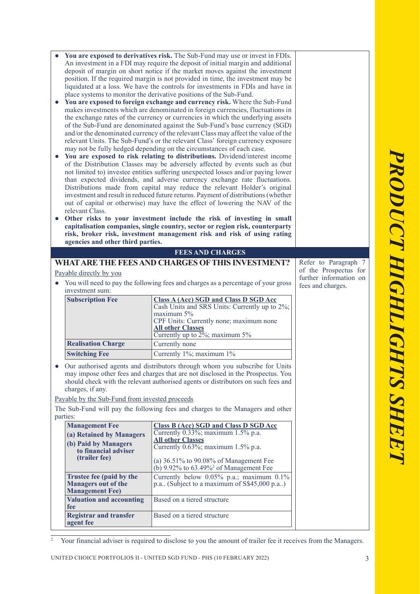|                                                                                                                                                                      | You are exposed to derivatives risk. The Sub-Fund may use or invest in FDIs.                                                                                      |                        |  |
|----------------------------------------------------------------------------------------------------------------------------------------------------------------------|-------------------------------------------------------------------------------------------------------------------------------------------------------------------|------------------------|--|
| An investment in a FDI may require the deposit of initial margin and additional<br>deposit of margin on short notice if the market moves against the investment      |                                                                                                                                                                   |                        |  |
| position. If the required margin is not provided in time, the investment may be                                                                                      |                                                                                                                                                                   |                        |  |
| liquidated at a loss. We have the controls for investments in FDIs and have in                                                                                       |                                                                                                                                                                   |                        |  |
| place systems to monitor the derivative positions of the Sub-Fund.<br>You are exposed to foreign exchange and currency risk. Where the Sub-Fund                      |                                                                                                                                                                   |                        |  |
|                                                                                                                                                                      | makes investments which are denominated in foreign currencies, fluctuations in                                                                                    |                        |  |
| the exchange rates of the currency or currencies in which the underlying assets                                                                                      |                                                                                                                                                                   |                        |  |
| of the Sub-Fund are denominated against the Sub-Fund's base currency (SGD)                                                                                           |                                                                                                                                                                   |                        |  |
| and/or the denominated currency of the relevant Class may affect the value of the<br>relevant Units. The Sub-Fund's or the relevant Class' foreign currency exposure |                                                                                                                                                                   |                        |  |
| may not be fully hedged depending on the circumstances of each case.                                                                                                 |                                                                                                                                                                   |                        |  |
|                                                                                                                                                                      | You are exposed to risk relating to distributions. Dividend/interest income                                                                                       |                        |  |
|                                                                                                                                                                      | of the Distribution Classes may be adversely affected by events such as (but<br>not limited to) investee entities suffering unexpected losses and/or paying lower |                        |  |
|                                                                                                                                                                      | than expected dividends, and adverse currency exchange rate fluctuations.                                                                                         |                        |  |
|                                                                                                                                                                      | Distributions made from capital may reduce the relevant Holder's original                                                                                         |                        |  |
|                                                                                                                                                                      | investment and result in reduced future returns. Payment of distributions (whether<br>out of capital or otherwise) may have the effect of lowering the NAV of the |                        |  |
| relevant Class.                                                                                                                                                      |                                                                                                                                                                   |                        |  |
| Other risks to your investment include the risk of investing in small<br>capitalisation companies, single country, sector or region risk, counterparty               |                                                                                                                                                                   |                        |  |
|                                                                                                                                                                      | risk, broker risk, investment management risk and risk of using rating                                                                                            |                        |  |
| agencies and other third parties.                                                                                                                                    |                                                                                                                                                                   |                        |  |
|                                                                                                                                                                      | <b>FEES AND CHARGES</b>                                                                                                                                           |                        |  |
|                                                                                                                                                                      | WHAT ARE THE FEES AND CHARGES OF THIS INVESTMENT?                                                                                                                 | Refer to Paragraph 7   |  |
| Payable directly by you                                                                                                                                              |                                                                                                                                                                   | of the Prospectus for  |  |
|                                                                                                                                                                      | You will need to pay the following fees and charges as a percentage of your gross                                                                                 | further information on |  |
| fees and charges.<br>investment sum:                                                                                                                                 |                                                                                                                                                                   |                        |  |
| <b>Subscription Fee</b>                                                                                                                                              | <b>Class A (Acc) SGD and Class D SGD Acc</b><br>Cash Units and SRS Units: Currently up to 2%;                                                                     |                        |  |
|                                                                                                                                                                      | maximum 5%                                                                                                                                                        |                        |  |
|                                                                                                                                                                      |                                                                                                                                                                   |                        |  |
|                                                                                                                                                                      | CPF Units: Currently none; maximum none                                                                                                                           |                        |  |
|                                                                                                                                                                      | <b>All other Classes</b>                                                                                                                                          |                        |  |
| <b>Realisation Charge</b>                                                                                                                                            | Currently up to $2\frac{6}{3}$ ; maximum 5%<br>Currently none                                                                                                     |                        |  |
| <b>Switching Fee</b>                                                                                                                                                 | Currently 1%; maximum 1%                                                                                                                                          |                        |  |
|                                                                                                                                                                      |                                                                                                                                                                   |                        |  |
|                                                                                                                                                                      | Our authorised agents and distributors through whom you subscribe for Units<br>may impose other fees and charges that are not disclosed in the Prospectus. You    |                        |  |
|                                                                                                                                                                      | should check with the relevant authorised agents or distributors on such fees and                                                                                 |                        |  |
| charges, if any.                                                                                                                                                     |                                                                                                                                                                   |                        |  |
| Payable by the Sub-Fund from invested proceeds                                                                                                                       |                                                                                                                                                                   |                        |  |
| parties:                                                                                                                                                             | The Sub-Fund will pay the following fees and charges to the Managers and other                                                                                    |                        |  |
| <b>Management Fee</b>                                                                                                                                                | <b>Class B (Acc) SGD and Class D SGD Acc</b>                                                                                                                      |                        |  |
| (a) Retained by Managers                                                                                                                                             | Currently 0.33%; maximum 1.5% p.a.                                                                                                                                |                        |  |
| (b) Paid by Managers                                                                                                                                                 | <b>All other Classes</b><br>Currently 0.63%; maximum 1.5% p.a.                                                                                                    |                        |  |
| to financial adviser                                                                                                                                                 |                                                                                                                                                                   |                        |  |
| (trailer fee)                                                                                                                                                        | (a) 36.51% to 90.08% of Management Fee                                                                                                                            |                        |  |
| Trustee fee (paid by the                                                                                                                                             | (b) $9.92\%$ to $63.49\%$ <sup>2</sup> of Management Fee<br>Currently below 0.05% p.a.; maximum 0.1%                                                              |                        |  |
| <b>Managers out of the</b>                                                                                                                                           | p.a (Subject to a maximum of S\$45,000 p.a)                                                                                                                       |                        |  |
| <b>Management Fee)</b>                                                                                                                                               |                                                                                                                                                                   |                        |  |
| <b>Valuation and accounting</b><br>fee                                                                                                                               | Based on a tiered structure                                                                                                                                       |                        |  |
| <b>Registrar and transfer</b><br>agent fee                                                                                                                           | Based on a tiered structure                                                                                                                                       |                        |  |

2 Your financial adviser is required to disclose to you the amount of trailer fee it receives from the Managers.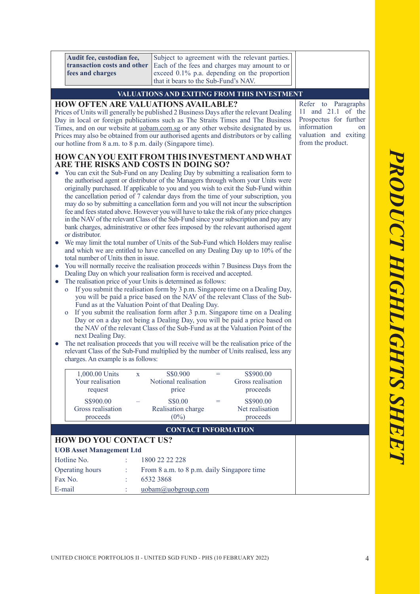|                                                                    | Audit fee, custodian fee,<br>transaction costs and other<br>fees and charges                                                                                                                                                                                                                                                                                                                                                                                                                                                                                                                                                                                                                                                                                                                                                                                                                                                                                                                                                                                                                                                                                                                                                                                                                                                                                                                                                                                                                                                                                                                                                           | that it bears to the Sub-Fund's NAV.        | Subject to agreement with the relevant parties.<br>Each of the fees and charges may amount to or<br>exceed 0.1% p.a. depending on the proportion |                                                                                                                                        |
|--------------------------------------------------------------------|----------------------------------------------------------------------------------------------------------------------------------------------------------------------------------------------------------------------------------------------------------------------------------------------------------------------------------------------------------------------------------------------------------------------------------------------------------------------------------------------------------------------------------------------------------------------------------------------------------------------------------------------------------------------------------------------------------------------------------------------------------------------------------------------------------------------------------------------------------------------------------------------------------------------------------------------------------------------------------------------------------------------------------------------------------------------------------------------------------------------------------------------------------------------------------------------------------------------------------------------------------------------------------------------------------------------------------------------------------------------------------------------------------------------------------------------------------------------------------------------------------------------------------------------------------------------------------------------------------------------------------------|---------------------------------------------|--------------------------------------------------------------------------------------------------------------------------------------------------|----------------------------------------------------------------------------------------------------------------------------------------|
|                                                                    |                                                                                                                                                                                                                                                                                                                                                                                                                                                                                                                                                                                                                                                                                                                                                                                                                                                                                                                                                                                                                                                                                                                                                                                                                                                                                                                                                                                                                                                                                                                                                                                                                                        | VALUATIONS AND EXITING FROM THIS INVESTMENT |                                                                                                                                                  |                                                                                                                                        |
| $\bullet$                                                          | <b>HOW OFTEN ARE VALUATIONS AVAILABLE?</b><br>Prices of Units will generally be published 2 Business Days after the relevant Dealing<br>Day in local or foreign publications such as The Straits Times and The Business<br>Times, and on our website at <i>uobam.com.sg</i> or any other website designated by us.<br>Prices may also be obtained from our authorised agents and distributors or by calling<br>our hotline from 8 a.m. to 8 p.m. daily (Singapore time).<br>HOW CAN YOU EXIT FROM THIS INVESTMENT AND WHAT<br>ARE THE RISKS AND COSTS IN DOING SO?<br>You can exit the Sub-Fund on any Dealing Day by submitting a realisation form to<br>the authorised agent or distributor of the Managers through whom your Units were<br>originally purchased. If applicable to you and you wish to exit the Sub-Fund within                                                                                                                                                                                                                                                                                                                                                                                                                                                                                                                                                                                                                                                                                                                                                                                                      |                                             |                                                                                                                                                  | Refer to Paragraphs<br>11 and 21.1 of the<br>Prospectus for further<br>information<br>on<br>valuation and exiting<br>from the product. |
| $\bullet$<br>$\bullet$<br>$\bullet$<br>$\mathbf O$<br>$\mathbf{o}$ | the cancellation period of 7 calendar days from the time of your subscription, you<br>may do so by submitting a cancellation form and you will not incur the subscription<br>fee and fees stated above. However you will have to take the risk of any price changes<br>in the NAV of the relevant Class of the Sub-Fund since your subscription and pay any<br>bank charges, administrative or other fees imposed by the relevant authorised agent<br>or distributor.<br>We may limit the total number of Units of the Sub-Fund which Holders may realise<br>and which we are entitled to have cancelled on any Dealing Day up to 10% of the<br>total number of Units then in issue.<br>You will normally receive the realisation proceeds within 7 Business Days from the<br>Dealing Day on which your realisation form is received and accepted.<br>The realisation price of your Units is determined as follows:<br>If you submit the realisation form by 3 p.m. Singapore time on a Dealing Day,<br>you will be paid a price based on the NAV of the relevant Class of the Sub-<br>Fund as at the Valuation Point of that Dealing Day.<br>If you submit the realisation form after 3 p.m. Singapore time on a Dealing<br>Day or on a day not being a Dealing Day, you will be paid a price based on<br>the NAV of the relevant Class of the Sub-Fund as at the Valuation Point of the<br>next Dealing Day.<br>The net realisation proceeds that you will receive will be the realisation price of the<br>relevant Class of the Sub-Fund multiplied by the number of Units realised, less any<br>charges. An example is as follows: |                                             |                                                                                                                                                  |                                                                                                                                        |
|                                                                    | 1,000.00 Units<br>$\mathbf{X}$<br>Your realisation<br>request                                                                                                                                                                                                                                                                                                                                                                                                                                                                                                                                                                                                                                                                                                                                                                                                                                                                                                                                                                                                                                                                                                                                                                                                                                                                                                                                                                                                                                                                                                                                                                          | S\$0.900<br>Notional realisation<br>price   | S\$900.00<br>$=$<br>Gross realisation<br>proceeds                                                                                                |                                                                                                                                        |
|                                                                    | S\$900.00<br>Gross realisation<br>proceeds                                                                                                                                                                                                                                                                                                                                                                                                                                                                                                                                                                                                                                                                                                                                                                                                                                                                                                                                                                                                                                                                                                                                                                                                                                                                                                                                                                                                                                                                                                                                                                                             | S\$0.00<br>Realisation charge<br>$(0\%)$    | S\$900.00<br>$=$<br>Net realisation<br>proceeds                                                                                                  |                                                                                                                                        |
|                                                                    |                                                                                                                                                                                                                                                                                                                                                                                                                                                                                                                                                                                                                                                                                                                                                                                                                                                                                                                                                                                                                                                                                                                                                                                                                                                                                                                                                                                                                                                                                                                                                                                                                                        | <b>CONTACT INFORMATION</b>                  |                                                                                                                                                  |                                                                                                                                        |
|                                                                    | <b>HOW DO YOU CONTACT US?</b>                                                                                                                                                                                                                                                                                                                                                                                                                                                                                                                                                                                                                                                                                                                                                                                                                                                                                                                                                                                                                                                                                                                                                                                                                                                                                                                                                                                                                                                                                                                                                                                                          |                                             |                                                                                                                                                  |                                                                                                                                        |
|                                                                    | <b>UOB Asset Management Ltd</b>                                                                                                                                                                                                                                                                                                                                                                                                                                                                                                                                                                                                                                                                                                                                                                                                                                                                                                                                                                                                                                                                                                                                                                                                                                                                                                                                                                                                                                                                                                                                                                                                        |                                             |                                                                                                                                                  |                                                                                                                                        |
|                                                                    | Hotline No.                                                                                                                                                                                                                                                                                                                                                                                                                                                                                                                                                                                                                                                                                                                                                                                                                                                                                                                                                                                                                                                                                                                                                                                                                                                                                                                                                                                                                                                                                                                                                                                                                            | 1800 22 22 228                              |                                                                                                                                                  |                                                                                                                                        |
|                                                                    | Operating hours<br>÷                                                                                                                                                                                                                                                                                                                                                                                                                                                                                                                                                                                                                                                                                                                                                                                                                                                                                                                                                                                                                                                                                                                                                                                                                                                                                                                                                                                                                                                                                                                                                                                                                   | From 8 a.m. to 8 p.m. daily Singapore time  |                                                                                                                                                  |                                                                                                                                        |

Fax No. : 6532 3868

E-mail : uobam@uobgroup.com